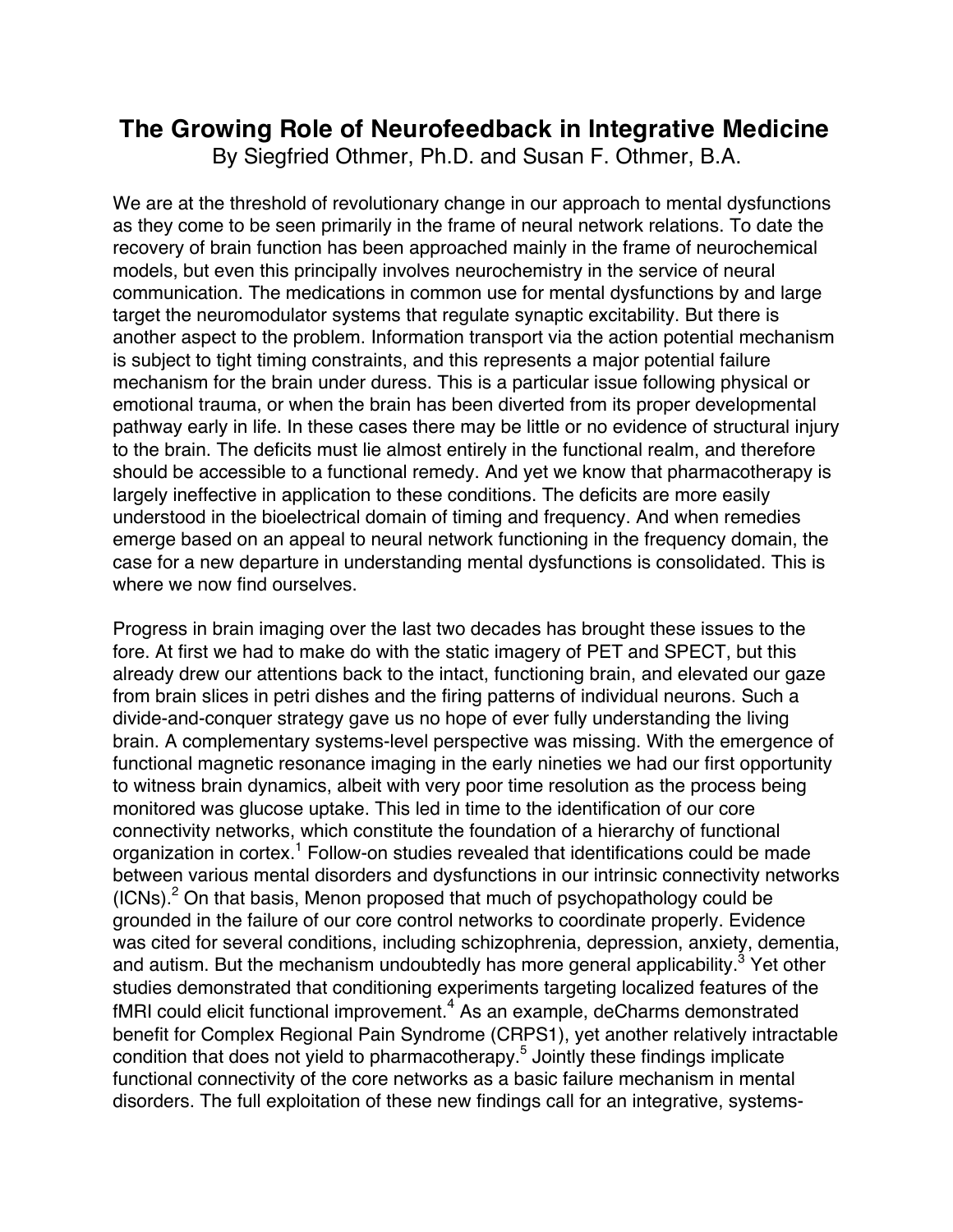# **The Growing Role of Neurofeedback in Integrative Medicine**

By Siegfried Othmer, Ph.D. and Susan F. Othmer, B.A.

We are at the threshold of revolutionary change in our approach to mental dysfunctions as they come to be seen primarily in the frame of neural network relations. To date the recovery of brain function has been approached mainly in the frame of neurochemical models, but even this principally involves neurochemistry in the service of neural communication. The medications in common use for mental dysfunctions by and large target the neuromodulator systems that regulate synaptic excitability. But there is another aspect to the problem. Information transport via the action potential mechanism is subject to tight timing constraints, and this represents a major potential failure mechanism for the brain under duress. This is a particular issue following physical or emotional trauma, or when the brain has been diverted from its proper developmental pathway early in life. In these cases there may be little or no evidence of structural injury to the brain. The deficits must lie almost entirely in the functional realm, and therefore should be accessible to a functional remedy. And yet we know that pharmacotherapy is largely ineffective in application to these conditions. The deficits are more easily understood in the bioelectrical domain of timing and frequency. And when remedies emerge based on an appeal to neural network functioning in the frequency domain, the case for a new departure in understanding mental dysfunctions is consolidated. This is where we now find ourselves.

Progress in brain imaging over the last two decades has brought these issues to the fore. At first we had to make do with the static imagery of PET and SPECT, but this already drew our attentions back to the intact, functioning brain, and elevated our gaze from brain slices in petri dishes and the firing patterns of individual neurons. Such a divide-and-conquer strategy gave us no hope of ever fully understanding the living brain. A complementary systems-level perspective was missing. With the emergence of functional magnetic resonance imaging in the early nineties we had our first opportunity to witness brain dynamics, albeit with very poor time resolution as the process being monitored was glucose uptake. This led in time to the identification of our core connectivity networks, which constitute the foundation of a hierarchy of functional organization in cortex.<sup>1</sup> Follow-on studies revealed that identifications could be made between various mental disorders and dysfunctions in our intrinsic connectivity networks  $(ICNs)<sup>2</sup>$  On that basis, Menon proposed that much of psychopathology could be grounded in the failure of our core control networks to coordinate properly. Evidence was cited for several conditions, including schizophrenia, depression, anxiety, dementia, and autism. But the mechanism undoubtedly has more general applicability.<sup>3</sup> Yet other studies demonstrated that conditioning experiments targeting localized features of the  $fMRI$  could elicit functional improvement.<sup>4</sup> As an example, deCharms demonstrated benefit for Complex Regional Pain Syndrome (CRPS1), yet another relatively intractable condition that does not yield to pharmacotherapy. <sup>5</sup> Jointly these findings implicate functional connectivity of the core networks as a basic failure mechanism in mental disorders. The full exploitation of these new findings call for an integrative, systems-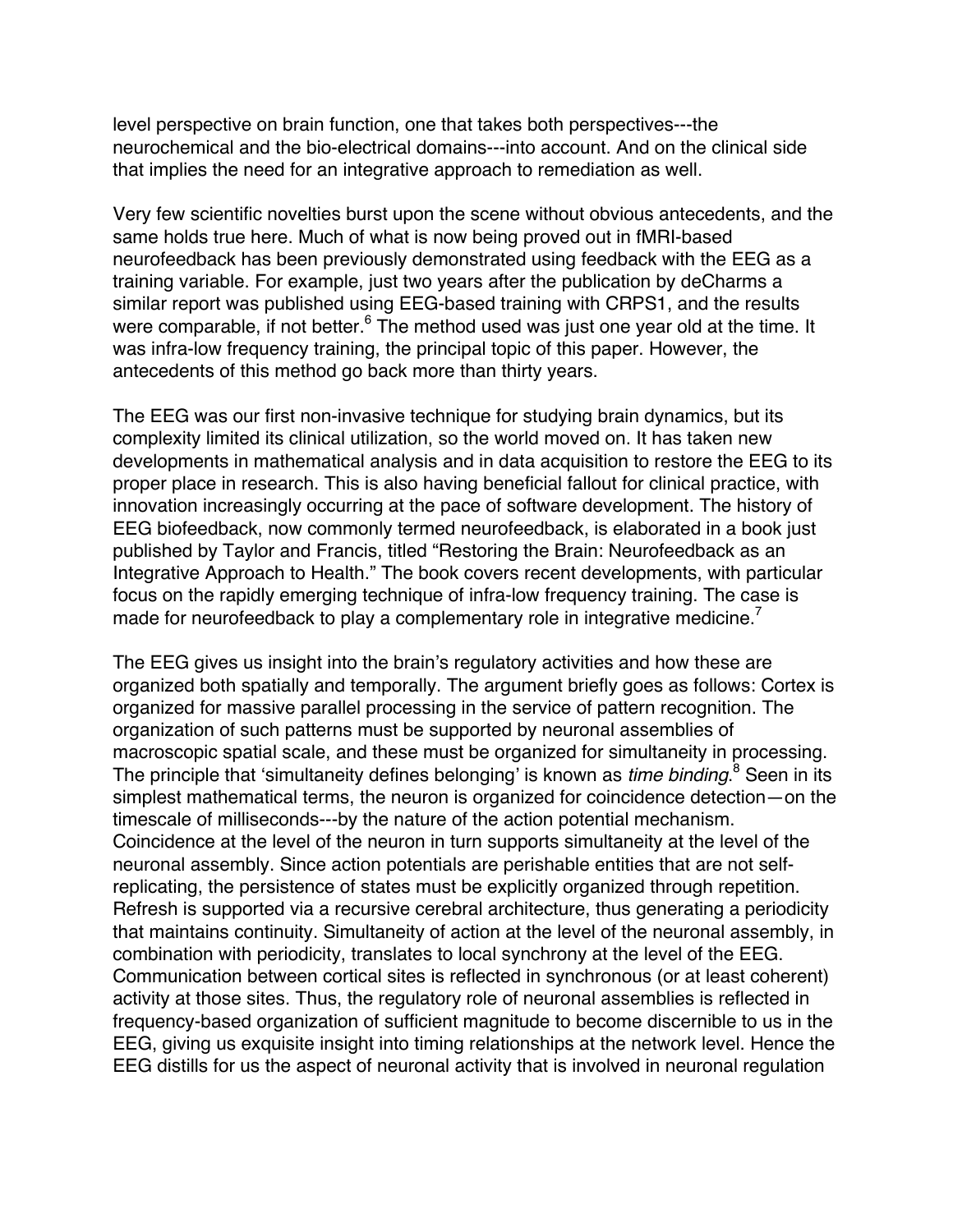level perspective on brain function, one that takes both perspectives---the neurochemical and the bio-electrical domains---into account. And on the clinical side that implies the need for an integrative approach to remediation as well.

Very few scientific novelties burst upon the scene without obvious antecedents, and the same holds true here. Much of what is now being proved out in fMRI-based neurofeedback has been previously demonstrated using feedback with the EEG as a training variable. For example, just two years after the publication by deCharms a similar report was published using EEG-based training with CRPS1, and the results were comparable, if not better.<sup>6</sup> The method used was just one year old at the time. It was infra-low frequency training, the principal topic of this paper. However, the antecedents of this method go back more than thirty years.

The EEG was our first non-invasive technique for studying brain dynamics, but its complexity limited its clinical utilization, so the world moved on. It has taken new developments in mathematical analysis and in data acquisition to restore the EEG to its proper place in research. This is also having beneficial fallout for clinical practice, with innovation increasingly occurring at the pace of software development. The history of EEG biofeedback, now commonly termed neurofeedback, is elaborated in a book just published by Taylor and Francis, titled "Restoring the Brain: Neurofeedback as an Integrative Approach to Health." The book covers recent developments, with particular focus on the rapidly emerging technique of infra-low frequency training. The case is made for neurofeedback to play a complementary role in integrative medicine.<sup>7</sup>

The EEG gives us insight into the brain's regulatory activities and how these are organized both spatially and temporally. The argument briefly goes as follows: Cortex is organized for massive parallel processing in the service of pattern recognition. The organization of such patterns must be supported by neuronal assemblies of macroscopic spatial scale, and these must be organized for simultaneity in processing. The principle that 'simultaneity defines belonging' is known as *time binding*. <sup>8</sup> Seen in its simplest mathematical terms, the neuron is organized for coincidence detection—on the timescale of milliseconds---by the nature of the action potential mechanism. Coincidence at the level of the neuron in turn supports simultaneity at the level of the neuronal assembly. Since action potentials are perishable entities that are not selfreplicating, the persistence of states must be explicitly organized through repetition. Refresh is supported via a recursive cerebral architecture, thus generating a periodicity that maintains continuity. Simultaneity of action at the level of the neuronal assembly, in combination with periodicity, translates to local synchrony at the level of the EEG. Communication between cortical sites is reflected in synchronous (or at least coherent) activity at those sites. Thus, the regulatory role of neuronal assemblies is reflected in frequency-based organization of sufficient magnitude to become discernible to us in the EEG, giving us exquisite insight into timing relationships at the network level. Hence the EEG distills for us the aspect of neuronal activity that is involved in neuronal regulation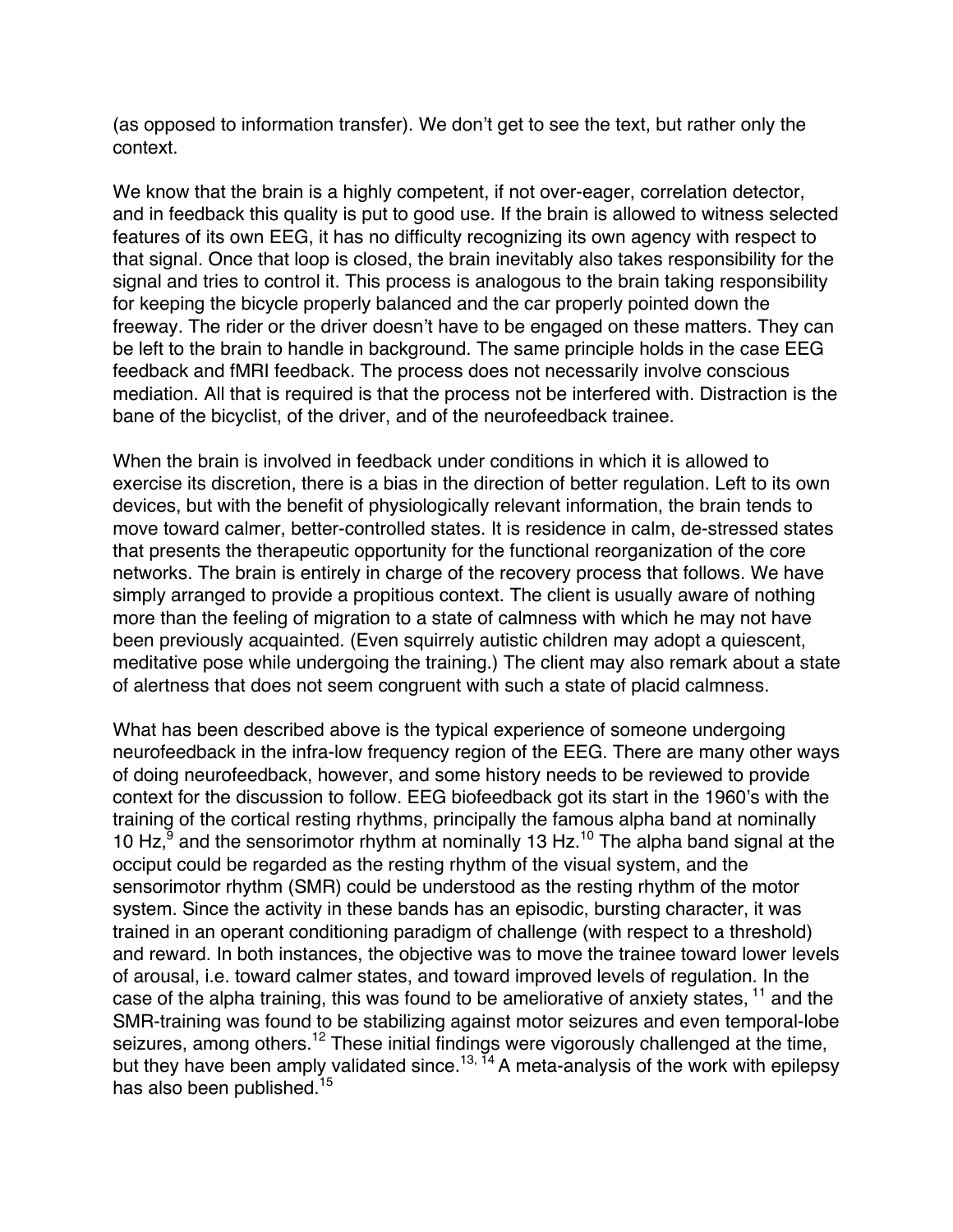(as opposed to information transfer). We don't get to see the text, but rather only the context.

We know that the brain is a highly competent, if not over-eager, correlation detector, and in feedback this quality is put to good use. If the brain is allowed to witness selected features of its own EEG, it has no difficulty recognizing its own agency with respect to that signal. Once that loop is closed, the brain inevitably also takes responsibility for the signal and tries to control it. This process is analogous to the brain taking responsibility for keeping the bicycle properly balanced and the car properly pointed down the freeway. The rider or the driver doesn't have to be engaged on these matters. They can be left to the brain to handle in background. The same principle holds in the case EEG feedback and fMRI feedback. The process does not necessarily involve conscious mediation. All that is required is that the process not be interfered with. Distraction is the bane of the bicyclist, of the driver, and of the neurofeedback trainee.

When the brain is involved in feedback under conditions in which it is allowed to exercise its discretion, there is a bias in the direction of better regulation. Left to its own devices, but with the benefit of physiologically relevant information, the brain tends to move toward calmer, better-controlled states. It is residence in calm, de-stressed states that presents the therapeutic opportunity for the functional reorganization of the core networks. The brain is entirely in charge of the recovery process that follows. We have simply arranged to provide a propitious context. The client is usually aware of nothing more than the feeling of migration to a state of calmness with which he may not have been previously acquainted. (Even squirrely autistic children may adopt a quiescent, meditative pose while undergoing the training.) The client may also remark about a state of alertness that does not seem congruent with such a state of placid calmness.

What has been described above is the typical experience of someone undergoing neurofeedback in the infra-low frequency region of the EEG. There are many other ways of doing neurofeedback, however, and some history needs to be reviewed to provide context for the discussion to follow. EEG biofeedback got its start in the 1960's with the training of the cortical resting rhythms, principally the famous alpha band at nominally 10 Hz, $9^{\circ}$  and the sensorimotor rhythm at nominally 13 Hz.<sup>10</sup> The alpha band signal at the occiput could be regarded as the resting rhythm of the visual system, and the sensorimotor rhythm (SMR) could be understood as the resting rhythm of the motor system. Since the activity in these bands has an episodic, bursting character, it was trained in an operant conditioning paradigm of challenge (with respect to a threshold) and reward. In both instances, the objective was to move the trainee toward lower levels of arousal, i.e. toward calmer states, and toward improved levels of regulation. In the case of the alpha training, this was found to be ameliorative of anxiety states, <sup>11</sup> and the SMR-training was found to be stabilizing against motor seizures and even temporal-lobe seizures, among others.<sup>12</sup> These initial findings were vigorously challenged at the time, but they have been amply validated since.<sup>13, 14</sup> A meta-analysis of the work with epilepsy has also been published.<sup>15</sup>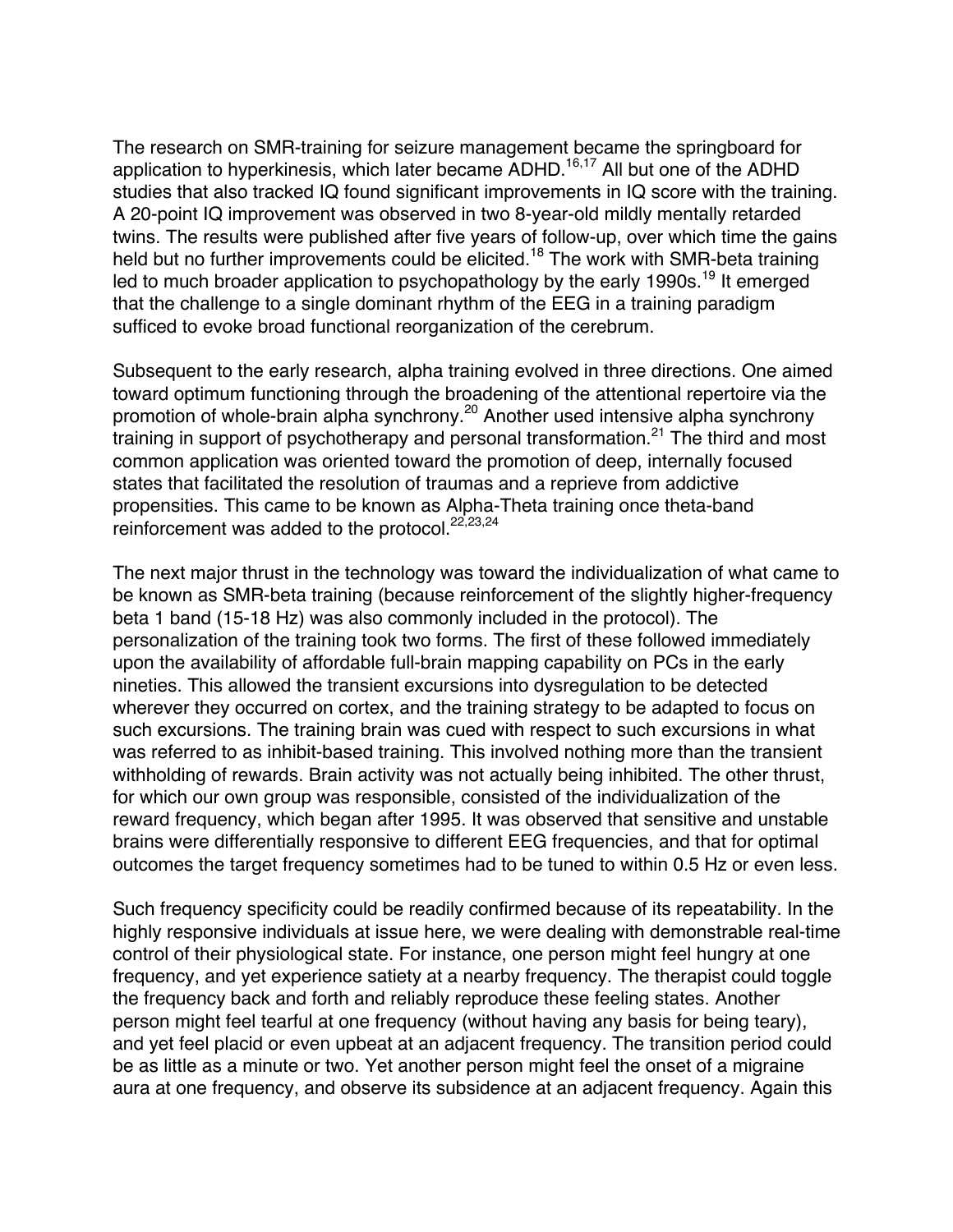The research on SMR-training for seizure management became the springboard for application to hyperkinesis, which later became  $ADHD$ .<sup>16,17</sup> All but one of the  $ADHD$ studies that also tracked IQ found significant improvements in IQ score with the training. A 20-point IQ improvement was observed in two 8-year-old mildly mentally retarded twins. The results were published after five years of follow-up, over which time the gains held but no further improvements could be elicited.<sup>18</sup> The work with SMR-beta training led to much broader application to psychopathology by the early 1990s.<sup>19</sup> It emerged that the challenge to a single dominant rhythm of the EEG in a training paradigm sufficed to evoke broad functional reorganization of the cerebrum.

Subsequent to the early research, alpha training evolved in three directions. One aimed toward optimum functioning through the broadening of the attentional repertoire via the promotion of whole-brain alpha synchrony.<sup>20</sup> Another used intensive alpha synchrony training in support of psychotherapy and personal transformation.<sup>21</sup> The third and most common application was oriented toward the promotion of deep, internally focused states that facilitated the resolution of traumas and a reprieve from addictive propensities. This came to be known as Alpha-Theta training once theta-band reinforcement was added to the protocol.<sup>22,23,24</sup>

The next major thrust in the technology was toward the individualization of what came to be known as SMR-beta training (because reinforcement of the slightly higher-frequency beta 1 band (15-18 Hz) was also commonly included in the protocol). The personalization of the training took two forms. The first of these followed immediately upon the availability of affordable full-brain mapping capability on PCs in the early nineties. This allowed the transient excursions into dysregulation to be detected wherever they occurred on cortex, and the training strategy to be adapted to focus on such excursions. The training brain was cued with respect to such excursions in what was referred to as inhibit-based training. This involved nothing more than the transient withholding of rewards. Brain activity was not actually being inhibited. The other thrust, for which our own group was responsible, consisted of the individualization of the reward frequency, which began after 1995. It was observed that sensitive and unstable brains were differentially responsive to different EEG frequencies, and that for optimal outcomes the target frequency sometimes had to be tuned to within 0.5 Hz or even less.

Such frequency specificity could be readily confirmed because of its repeatability. In the highly responsive individuals at issue here, we were dealing with demonstrable real-time control of their physiological state. For instance, one person might feel hungry at one frequency, and yet experience satiety at a nearby frequency. The therapist could toggle the frequency back and forth and reliably reproduce these feeling states. Another person might feel tearful at one frequency (without having any basis for being teary), and yet feel placid or even upbeat at an adjacent frequency. The transition period could be as little as a minute or two. Yet another person might feel the onset of a migraine aura at one frequency, and observe its subsidence at an adjacent frequency. Again this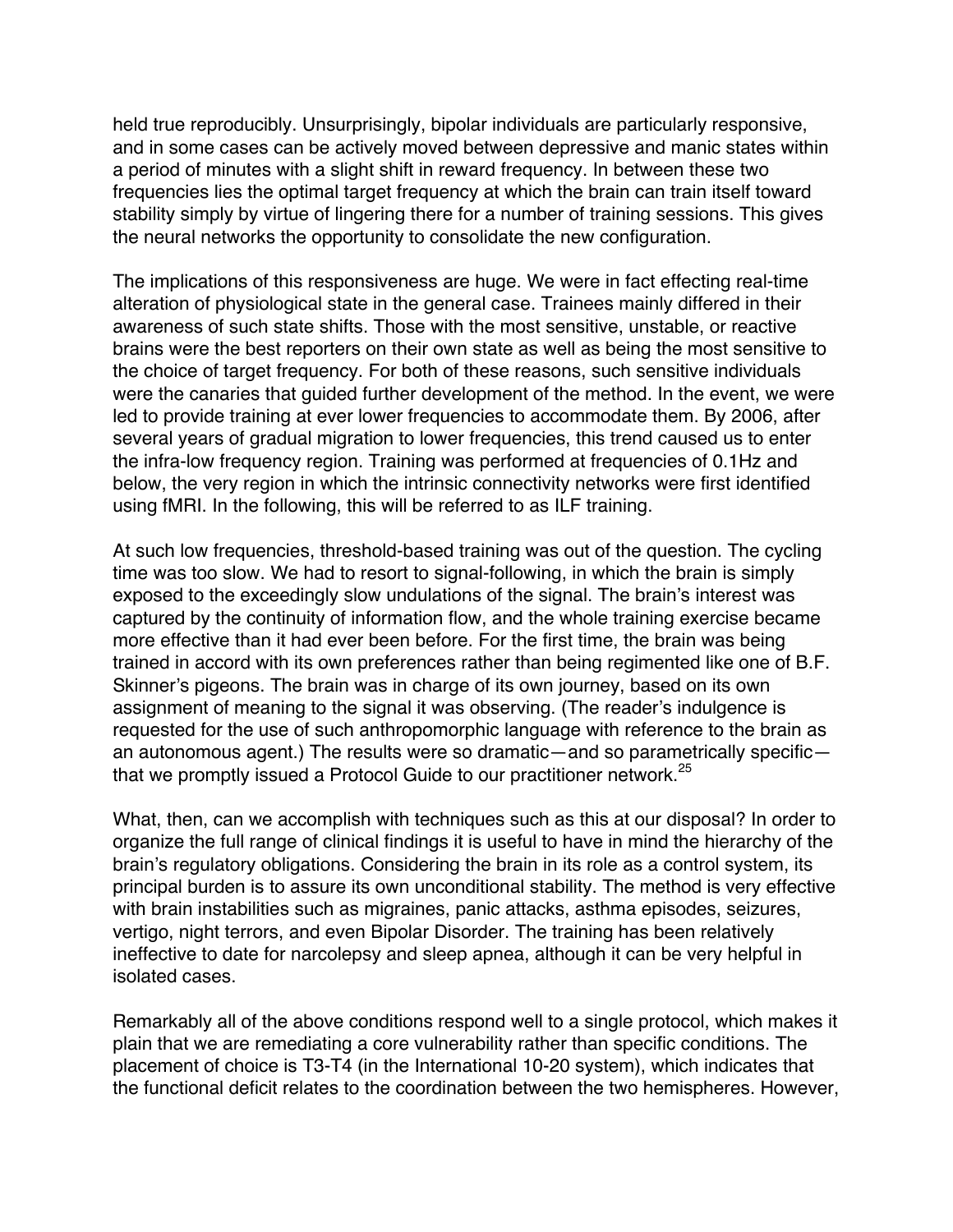held true reproducibly. Unsurprisingly, bipolar individuals are particularly responsive, and in some cases can be actively moved between depressive and manic states within a period of minutes with a slight shift in reward frequency. In between these two frequencies lies the optimal target frequency at which the brain can train itself toward stability simply by virtue of lingering there for a number of training sessions. This gives the neural networks the opportunity to consolidate the new configuration.

The implications of this responsiveness are huge. We were in fact effecting real-time alteration of physiological state in the general case. Trainees mainly differed in their awareness of such state shifts. Those with the most sensitive, unstable, or reactive brains were the best reporters on their own state as well as being the most sensitive to the choice of target frequency. For both of these reasons, such sensitive individuals were the canaries that guided further development of the method. In the event, we were led to provide training at ever lower frequencies to accommodate them. By 2006, after several years of gradual migration to lower frequencies, this trend caused us to enter the infra-low frequency region. Training was performed at frequencies of 0.1Hz and below, the very region in which the intrinsic connectivity networks were first identified using fMRI. In the following, this will be referred to as ILF training.

At such low frequencies, threshold-based training was out of the question. The cycling time was too slow. We had to resort to signal-following, in which the brain is simply exposed to the exceedingly slow undulations of the signal. The brain's interest was captured by the continuity of information flow, and the whole training exercise became more effective than it had ever been before. For the first time, the brain was being trained in accord with its own preferences rather than being regimented like one of B.F. Skinner's pigeons. The brain was in charge of its own journey, based on its own assignment of meaning to the signal it was observing. (The reader's indulgence is requested for the use of such anthropomorphic language with reference to the brain as an autonomous agent.) The results were so dramatic—and so parametrically specific that we promptly issued a Protocol Guide to our practitioner network. $25$ 

What, then, can we accomplish with techniques such as this at our disposal? In order to organize the full range of clinical findings it is useful to have in mind the hierarchy of the brain's regulatory obligations. Considering the brain in its role as a control system, its principal burden is to assure its own unconditional stability. The method is very effective with brain instabilities such as migraines, panic attacks, asthma episodes, seizures, vertigo, night terrors, and even Bipolar Disorder. The training has been relatively ineffective to date for narcolepsy and sleep apnea, although it can be very helpful in isolated cases.

Remarkably all of the above conditions respond well to a single protocol, which makes it plain that we are remediating a core vulnerability rather than specific conditions. The placement of choice is T3-T4 (in the International 10-20 system), which indicates that the functional deficit relates to the coordination between the two hemispheres. However,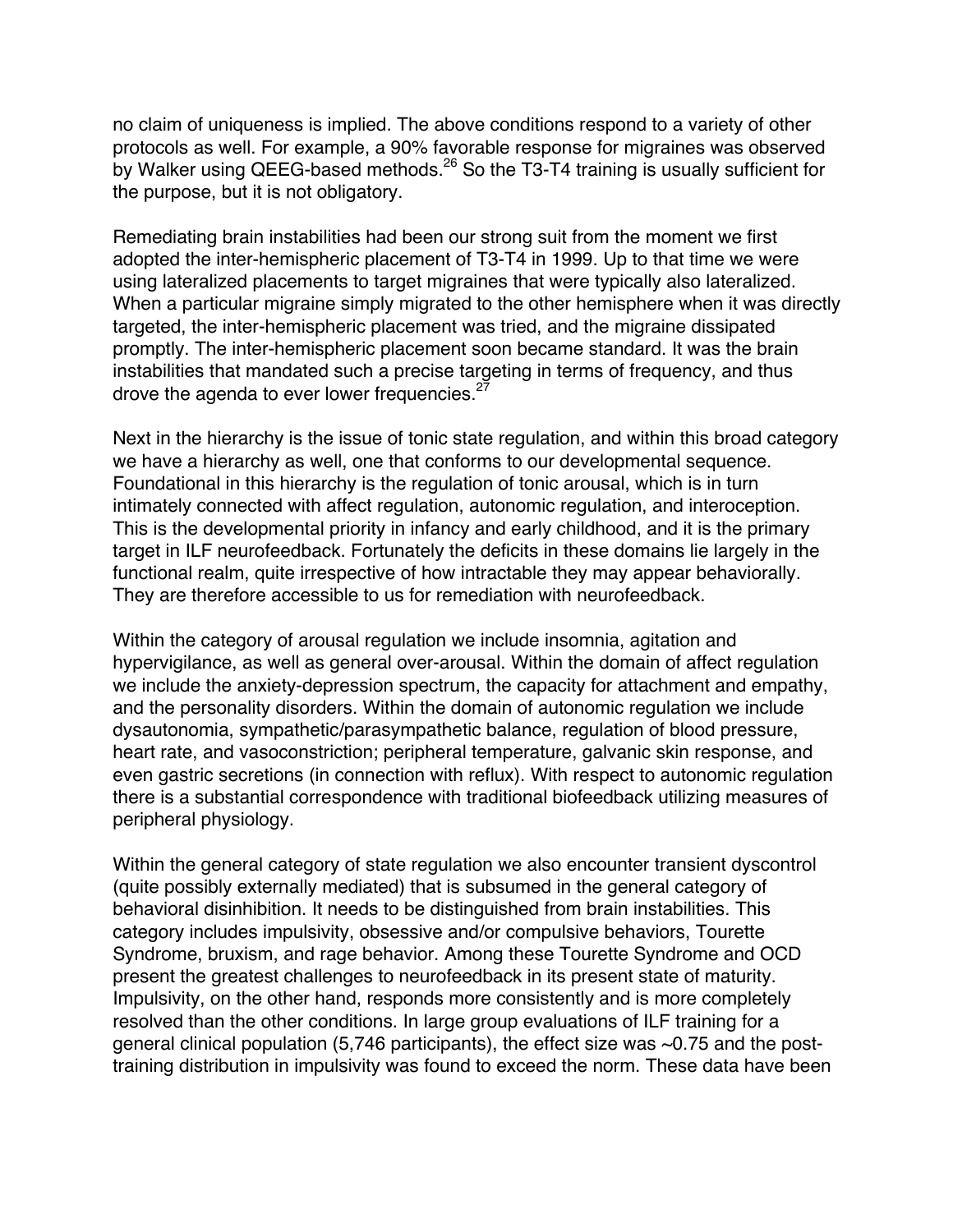no claim of uniqueness is implied. The above conditions respond to a variety of other protocols as well. For example, a 90% favorable response for migraines was observed by Walker using QEEG-based methods.<sup>26</sup> So the T3-T4 training is usually sufficient for the purpose, but it is not obligatory.

Remediating brain instabilities had been our strong suit from the moment we first adopted the inter-hemispheric placement of T3-T4 in 1999. Up to that time we were using lateralized placements to target migraines that were typically also lateralized. When a particular migraine simply migrated to the other hemisphere when it was directly targeted, the inter-hemispheric placement was tried, and the migraine dissipated promptly. The inter-hemispheric placement soon became standard. It was the brain instabilities that mandated such a precise targeting in terms of frequency, and thus drove the agenda to ever lower frequencies.<sup>27</sup>

Next in the hierarchy is the issue of tonic state regulation, and within this broad category we have a hierarchy as well, one that conforms to our developmental sequence. Foundational in this hierarchy is the regulation of tonic arousal, which is in turn intimately connected with affect regulation, autonomic regulation, and interoception. This is the developmental priority in infancy and early childhood, and it is the primary target in ILF neurofeedback. Fortunately the deficits in these domains lie largely in the functional realm, quite irrespective of how intractable they may appear behaviorally. They are therefore accessible to us for remediation with neurofeedback.

Within the category of arousal regulation we include insomnia, agitation and hypervigilance, as well as general over-arousal. Within the domain of affect regulation we include the anxiety-depression spectrum, the capacity for attachment and empathy, and the personality disorders. Within the domain of autonomic regulation we include dysautonomia, sympathetic/parasympathetic balance, regulation of blood pressure, heart rate, and vasoconstriction; peripheral temperature, galvanic skin response, and even gastric secretions (in connection with reflux). With respect to autonomic regulation there is a substantial correspondence with traditional biofeedback utilizing measures of peripheral physiology.

Within the general category of state regulation we also encounter transient dyscontrol (quite possibly externally mediated) that is subsumed in the general category of behavioral disinhibition. It needs to be distinguished from brain instabilities. This category includes impulsivity, obsessive and/or compulsive behaviors, Tourette Syndrome, bruxism, and rage behavior. Among these Tourette Syndrome and OCD present the greatest challenges to neurofeedback in its present state of maturity. Impulsivity, on the other hand, responds more consistently and is more completely resolved than the other conditions. In large group evaluations of ILF training for a general clinical population (5,746 participants), the effect size was ~0.75 and the posttraining distribution in impulsivity was found to exceed the norm. These data have been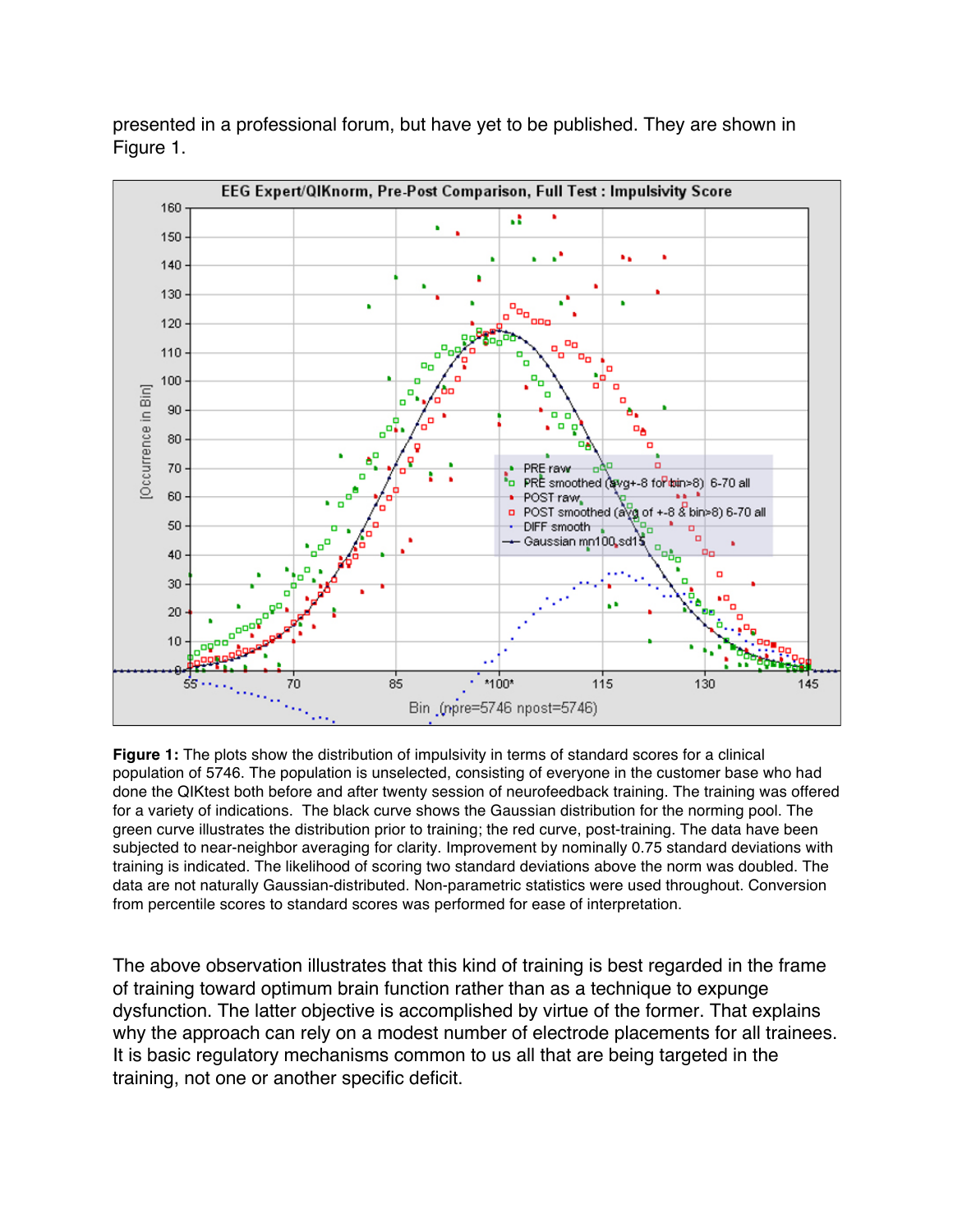

presented in a professional forum, but have yet to be published. They are shown in Figure 1.

**Figure 1:** The plots show the distribution of impulsivity in terms of standard scores for a clinical population of 5746. The population is unselected, consisting of everyone in the customer base who had done the QIKtest both before and after twenty session of neurofeedback training. The training was offered for a variety of indications. The black curve shows the Gaussian distribution for the norming pool. The green curve illustrates the distribution prior to training; the red curve, post-training. The data have been subjected to near-neighbor averaging for clarity. Improvement by nominally 0.75 standard deviations with training is indicated. The likelihood of scoring two standard deviations above the norm was doubled. The data are not naturally Gaussian-distributed. Non-parametric statistics were used throughout. Conversion from percentile scores to standard scores was performed for ease of interpretation.

The above observation illustrates that this kind of training is best regarded in the frame of training toward optimum brain function rather than as a technique to expunge dysfunction. The latter objective is accomplished by virtue of the former. That explains why the approach can rely on a modest number of electrode placements for all trainees. It is basic regulatory mechanisms common to us all that are being targeted in the training, not one or another specific deficit.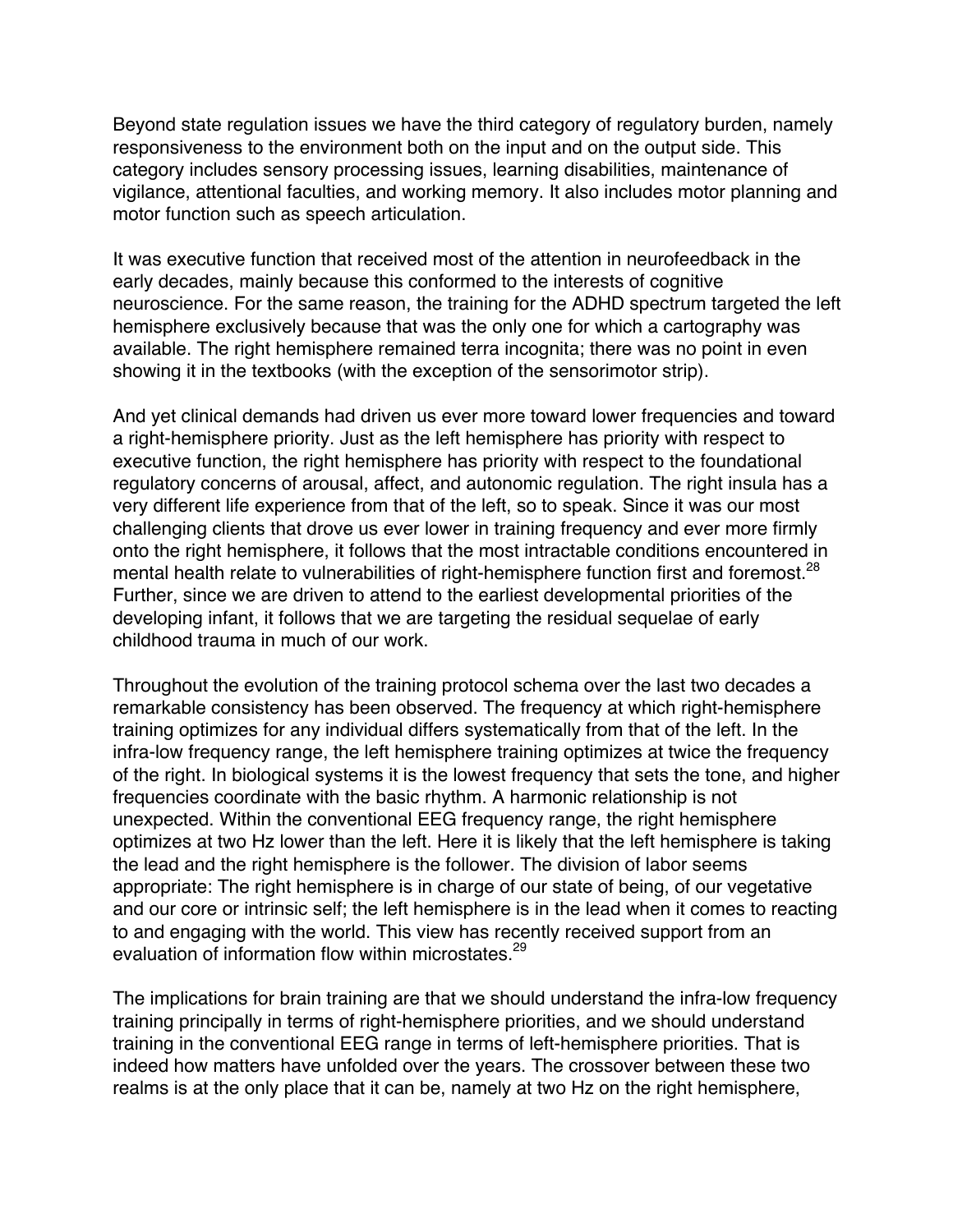Beyond state regulation issues we have the third category of regulatory burden, namely responsiveness to the environment both on the input and on the output side. This category includes sensory processing issues, learning disabilities, maintenance of vigilance, attentional faculties, and working memory. It also includes motor planning and motor function such as speech articulation.

It was executive function that received most of the attention in neurofeedback in the early decades, mainly because this conformed to the interests of cognitive neuroscience. For the same reason, the training for the ADHD spectrum targeted the left hemisphere exclusively because that was the only one for which a cartography was available. The right hemisphere remained terra incognita; there was no point in even showing it in the textbooks (with the exception of the sensorimotor strip).

And yet clinical demands had driven us ever more toward lower frequencies and toward a right-hemisphere priority. Just as the left hemisphere has priority with respect to executive function, the right hemisphere has priority with respect to the foundational regulatory concerns of arousal, affect, and autonomic regulation. The right insula has a very different life experience from that of the left, so to speak. Since it was our most challenging clients that drove us ever lower in training frequency and ever more firmly onto the right hemisphere, it follows that the most intractable conditions encountered in mental health relate to vulnerabilities of right-hemisphere function first and foremost.<sup>28</sup> Further, since we are driven to attend to the earliest developmental priorities of the developing infant, it follows that we are targeting the residual sequelae of early childhood trauma in much of our work.

Throughout the evolution of the training protocol schema over the last two decades a remarkable consistency has been observed. The frequency at which right-hemisphere training optimizes for any individual differs systematically from that of the left. In the infra-low frequency range, the left hemisphere training optimizes at twice the frequency of the right. In biological systems it is the lowest frequency that sets the tone, and higher frequencies coordinate with the basic rhythm. A harmonic relationship is not unexpected. Within the conventional EEG frequency range, the right hemisphere optimizes at two Hz lower than the left. Here it is likely that the left hemisphere is taking the lead and the right hemisphere is the follower. The division of labor seems appropriate: The right hemisphere is in charge of our state of being, of our vegetative and our core or intrinsic self; the left hemisphere is in the lead when it comes to reacting to and engaging with the world. This view has recently received support from an evaluation of information flow within microstates.<sup>29</sup>

The implications for brain training are that we should understand the infra-low frequency training principally in terms of right-hemisphere priorities, and we should understand training in the conventional EEG range in terms of left-hemisphere priorities. That is indeed how matters have unfolded over the years. The crossover between these two realms is at the only place that it can be, namely at two Hz on the right hemisphere,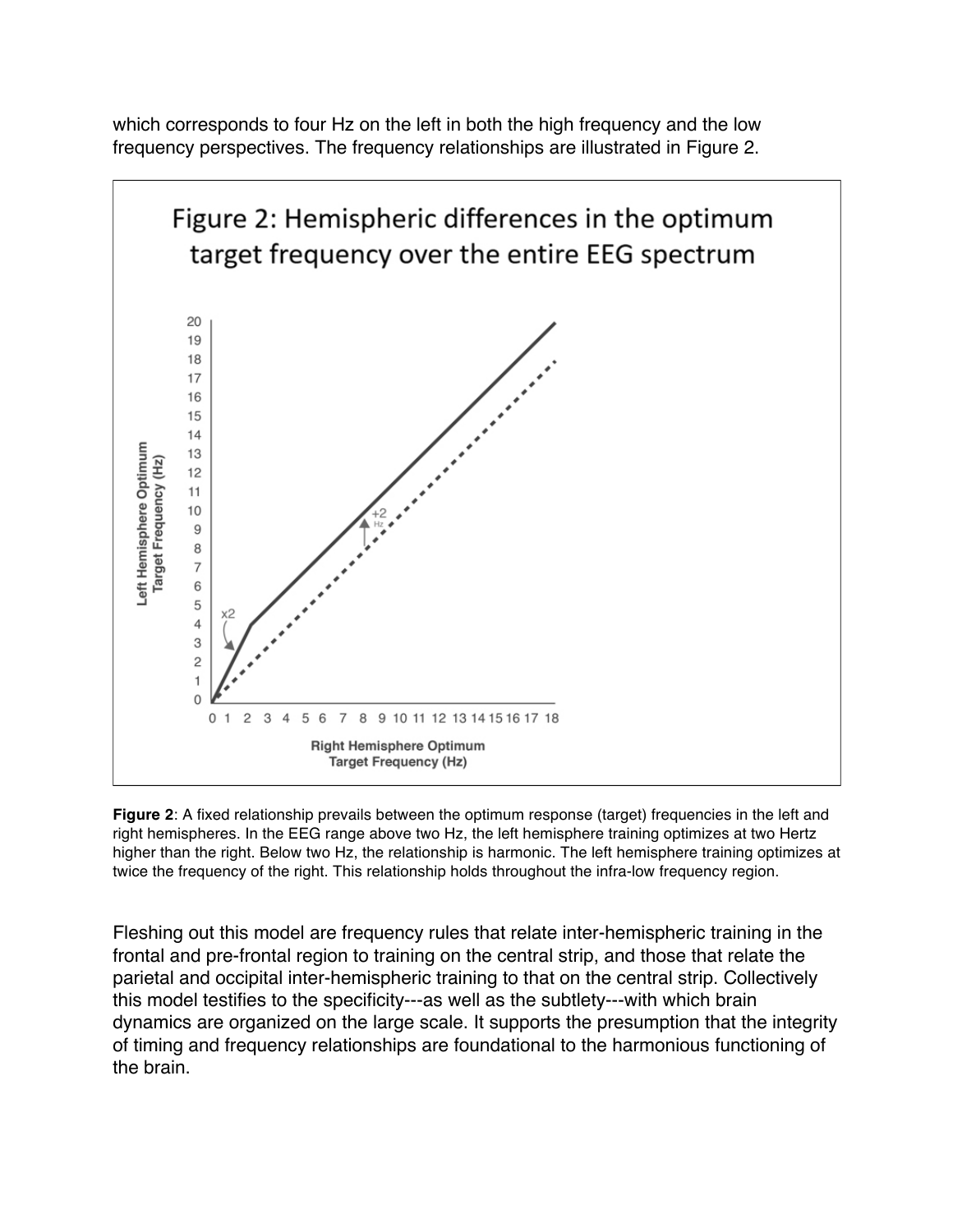which corresponds to four Hz on the left in both the high frequency and the low frequency perspectives. The frequency relationships are illustrated in Figure 2.



**Figure 2**: A fixed relationship prevails between the optimum response (target) frequencies in the left and right hemispheres. In the EEG range above two Hz, the left hemisphere training optimizes at two Hertz higher than the right. Below two Hz, the relationship is harmonic. The left hemisphere training optimizes at twice the frequency of the right. This relationship holds throughout the infra-low frequency region.

Fleshing out this model are frequency rules that relate inter-hemispheric training in the frontal and pre-frontal region to training on the central strip, and those that relate the parietal and occipital inter-hemispheric training to that on the central strip. Collectively this model testifies to the specificity---as well as the subtlety---with which brain dynamics are organized on the large scale. It supports the presumption that the integrity of timing and frequency relationships are foundational to the harmonious functioning of the brain.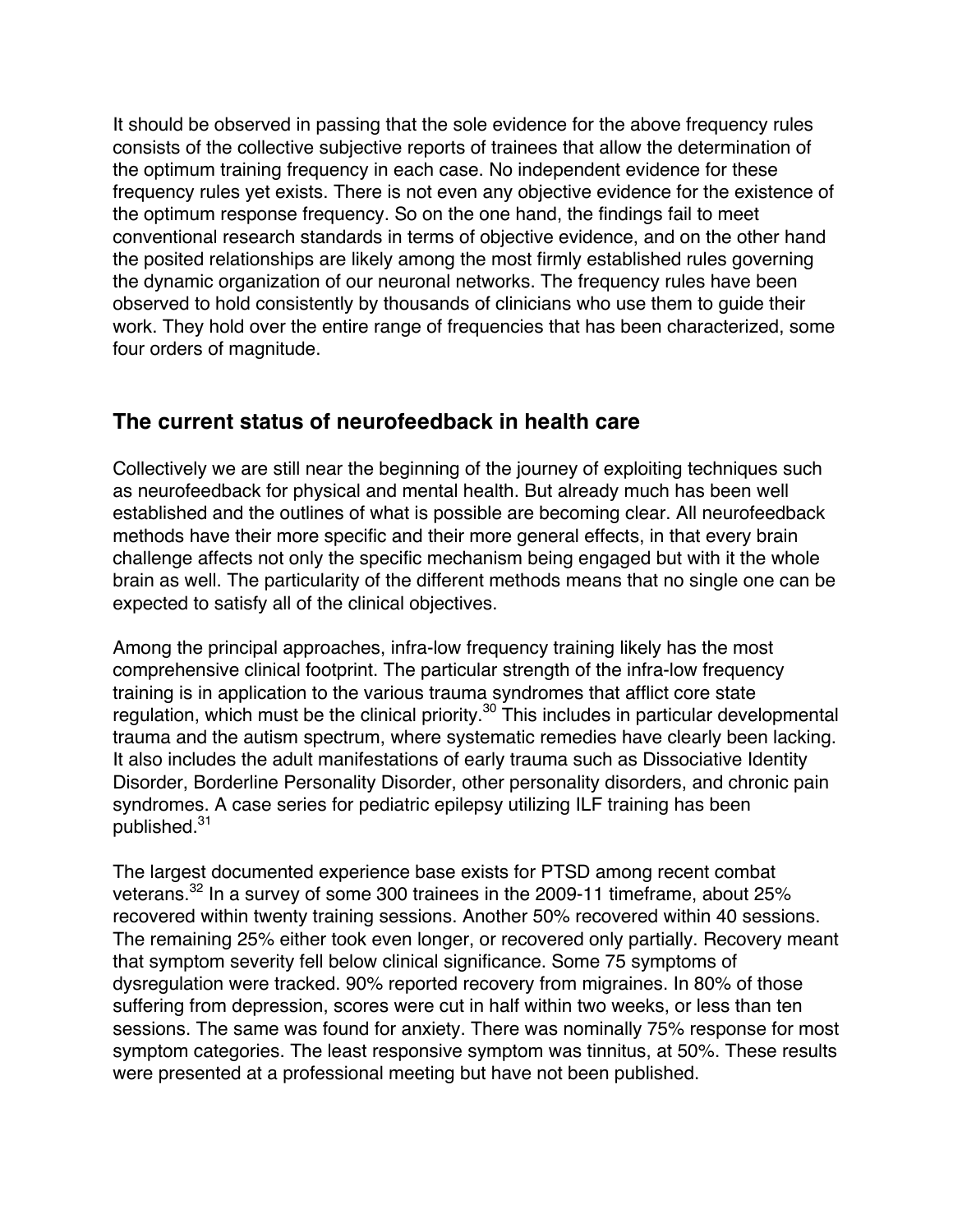It should be observed in passing that the sole evidence for the above frequency rules consists of the collective subjective reports of trainees that allow the determination of the optimum training frequency in each case. No independent evidence for these frequency rules yet exists. There is not even any objective evidence for the existence of the optimum response frequency. So on the one hand, the findings fail to meet conventional research standards in terms of objective evidence, and on the other hand the posited relationships are likely among the most firmly established rules governing the dynamic organization of our neuronal networks. The frequency rules have been observed to hold consistently by thousands of clinicians who use them to guide their work. They hold over the entire range of frequencies that has been characterized, some four orders of magnitude.

## **The current status of neurofeedback in health care**

Collectively we are still near the beginning of the journey of exploiting techniques such as neurofeedback for physical and mental health. But already much has been well established and the outlines of what is possible are becoming clear. All neurofeedback methods have their more specific and their more general effects, in that every brain challenge affects not only the specific mechanism being engaged but with it the whole brain as well. The particularity of the different methods means that no single one can be expected to satisfy all of the clinical objectives.

Among the principal approaches, infra-low frequency training likely has the most comprehensive clinical footprint. The particular strength of the infra-low frequency training is in application to the various trauma syndromes that afflict core state regulation, which must be the clinical priority.<sup>30</sup> This includes in particular developmental trauma and the autism spectrum, where systematic remedies have clearly been lacking. It also includes the adult manifestations of early trauma such as Dissociative Identity Disorder, Borderline Personality Disorder, other personality disorders, and chronic pain syndromes. A case series for pediatric epilepsy utilizing ILF training has been published.<sup>31</sup>

The largest documented experience base exists for PTSD among recent combat veterans.32 In a survey of some 300 trainees in the 2009-11 timeframe, about 25% recovered within twenty training sessions. Another 50% recovered within 40 sessions. The remaining 25% either took even longer, or recovered only partially. Recovery meant that symptom severity fell below clinical significance. Some 75 symptoms of dysregulation were tracked. 90% reported recovery from migraines. In 80% of those suffering from depression, scores were cut in half within two weeks, or less than ten sessions. The same was found for anxiety. There was nominally 75% response for most symptom categories. The least responsive symptom was tinnitus, at 50%. These results were presented at a professional meeting but have not been published.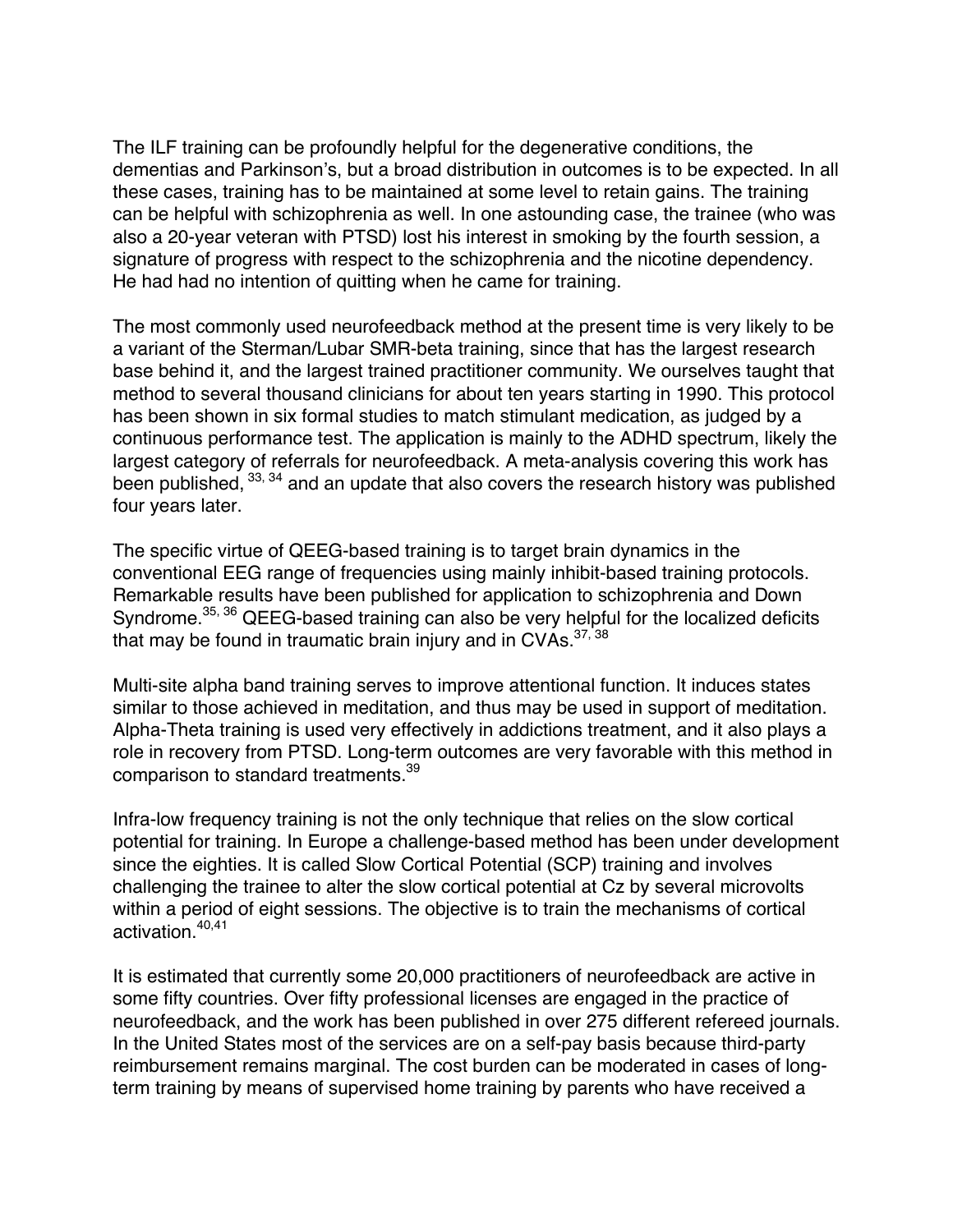The ILF training can be profoundly helpful for the degenerative conditions, the dementias and Parkinson's, but a broad distribution in outcomes is to be expected. In all these cases, training has to be maintained at some level to retain gains. The training can be helpful with schizophrenia as well. In one astounding case, the trainee (who was also a 20-year veteran with PTSD) lost his interest in smoking by the fourth session, a signature of progress with respect to the schizophrenia and the nicotine dependency. He had had no intention of quitting when he came for training.

The most commonly used neurofeedback method at the present time is very likely to be a variant of the Sterman/Lubar SMR-beta training, since that has the largest research base behind it, and the largest trained practitioner community. We ourselves taught that method to several thousand clinicians for about ten years starting in 1990. This protocol has been shown in six formal studies to match stimulant medication, as judged by a continuous performance test. The application is mainly to the ADHD spectrum, likely the largest category of referrals for neurofeedback. A meta-analysis covering this work has been published,  $^{33, 34}$  and an update that also covers the research history was published four years later.

The specific virtue of QEEG-based training is to target brain dynamics in the conventional EEG range of frequencies using mainly inhibit-based training protocols. Remarkable results have been published for application to schizophrenia and Down Syndrome.<sup>35, 36</sup> QEEG-based training can also be very helpful for the localized deficits that may be found in traumatic brain injury and in CVAs.  $37,38$ 

Multi-site alpha band training serves to improve attentional function. It induces states similar to those achieved in meditation, and thus may be used in support of meditation. Alpha-Theta training is used very effectively in addictions treatment, and it also plays a role in recovery from PTSD. Long-term outcomes are very favorable with this method in comparison to standard treatments.<sup>39</sup>

Infra-low frequency training is not the only technique that relies on the slow cortical potential for training. In Europe a challenge-based method has been under development since the eighties. It is called Slow Cortical Potential (SCP) training and involves challenging the trainee to alter the slow cortical potential at Cz by several microvolts within a period of eight sessions. The objective is to train the mechanisms of cortical activation.<sup>40,41</sup>

It is estimated that currently some 20,000 practitioners of neurofeedback are active in some fifty countries. Over fifty professional licenses are engaged in the practice of neurofeedback, and the work has been published in over 275 different refereed journals. In the United States most of the services are on a self-pay basis because third-party reimbursement remains marginal. The cost burden can be moderated in cases of longterm training by means of supervised home training by parents who have received a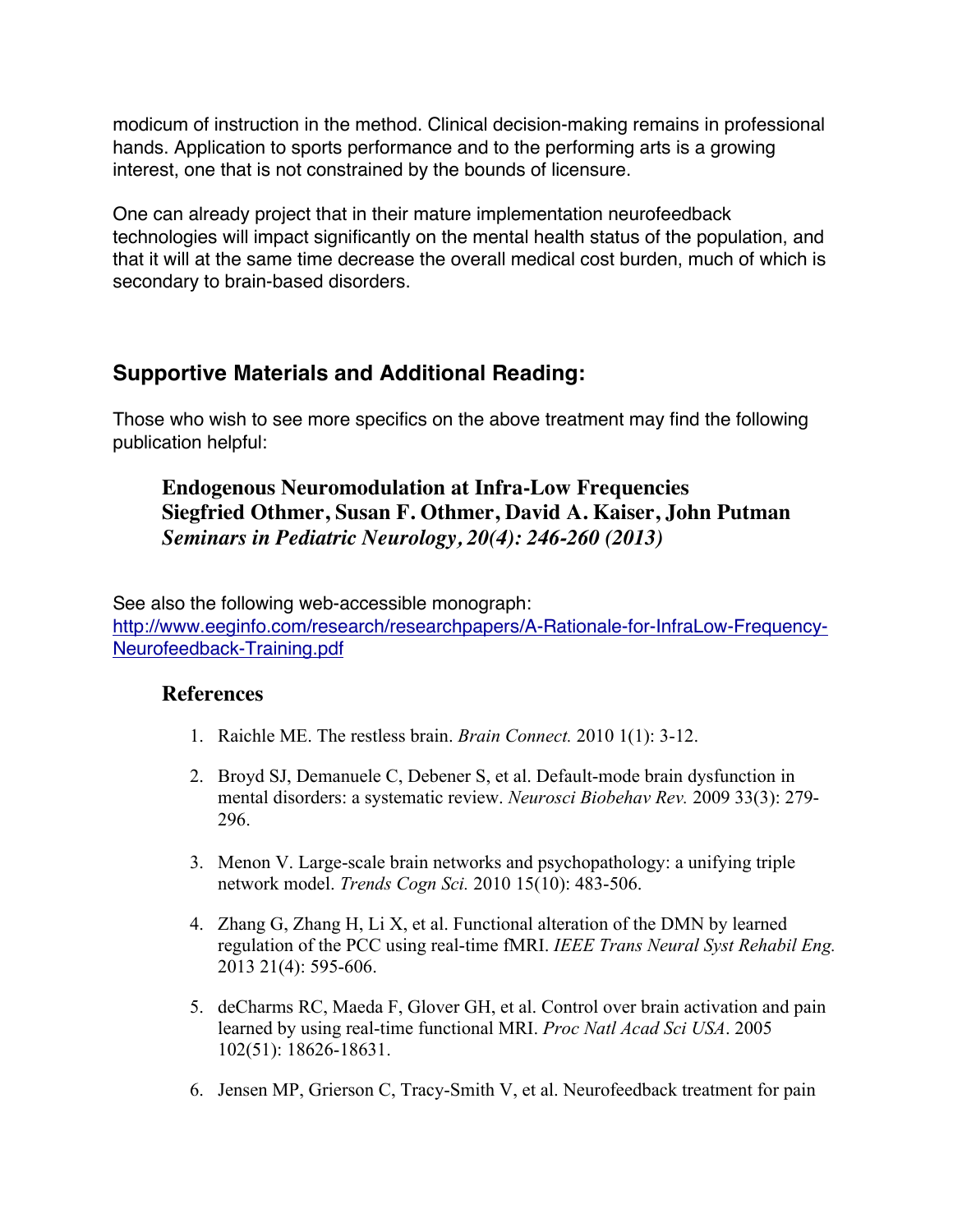modicum of instruction in the method. Clinical decision-making remains in professional hands. Application to sports performance and to the performing arts is a growing interest, one that is not constrained by the bounds of licensure.

One can already project that in their mature implementation neurofeedback technologies will impact significantly on the mental health status of the population, and that it will at the same time decrease the overall medical cost burden, much of which is secondary to brain-based disorders.

# **Supportive Materials and Additional Reading:**

Those who wish to see more specifics on the above treatment may find the following publication helpful:

## **Endogenous Neuromodulation at Infra-Low Frequencies Siegfried Othmer, Susan F. Othmer, David A. Kaiser, John Putman** *Seminars in Pediatric Neurology, 20(4): 246-260 (2013)*

See also the following web-accessible monograph: http://www.eeginfo.com/research/researchpapers/A-Rationale-for-InfraLow-Frequency-Neurofeedback-Training.pdf

#### **References**

- 1. Raichle ME. The restless brain. *Brain Connect.* 2010 1(1): 3-12.
- 2. Broyd SJ, Demanuele C, Debener S, et al. Default-mode brain dysfunction in mental disorders: a systematic review. *Neurosci Biobehav Rev.* 2009 33(3): 279- 296.
- 3. Menon V. Large-scale brain networks and psychopathology: a unifying triple network model. *Trends Cogn Sci.* 2010 15(10): 483-506.
- 4. Zhang G, Zhang H, Li X, et al. Functional alteration of the DMN by learned regulation of the PCC using real-time fMRI. *IEEE Trans Neural Syst Rehabil Eng.* 2013 21(4): 595-606.
- 5. deCharms RC, Maeda F, Glover GH, et al. Control over brain activation and pain learned by using real-time functional MRI. *Proc Natl Acad Sci USA*. 2005 102(51): 18626-18631.
- 6. Jensen MP, Grierson C, Tracy-Smith V, et al. Neurofeedback treatment for pain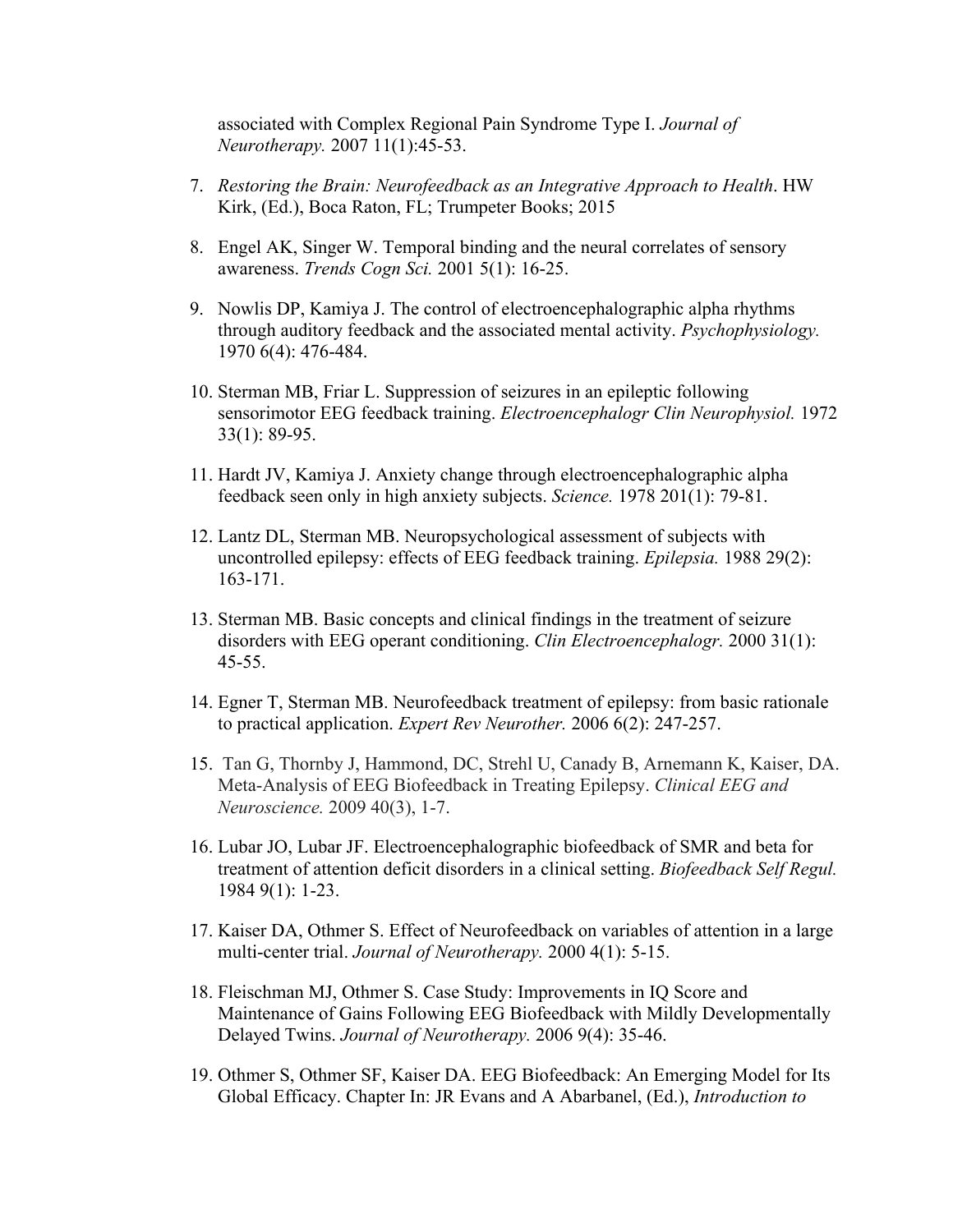associated with Complex Regional Pain Syndrome Type I. *Journal of Neurotherapy.* 2007 11(1):45-53.

- 7. *Restoring the Brain: Neurofeedback as an Integrative Approach to Health*. HW Kirk, (Ed.), Boca Raton, FL; Trumpeter Books; 2015
- 8. Engel AK, Singer W. Temporal binding and the neural correlates of sensory awareness. *Trends Cogn Sci.* 2001 5(1): 16-25.
- 9. Nowlis DP, Kamiya J. The control of electroencephalographic alpha rhythms through auditory feedback and the associated mental activity. *Psychophysiology.* 1970 6(4): 476-484.
- 10. Sterman MB, Friar L. Suppression of seizures in an epileptic following sensorimotor EEG feedback training. *Electroencephalogr Clin Neurophysiol.* 1972 33(1): 89-95.
- 11. Hardt JV, Kamiya J. Anxiety change through electroencephalographic alpha feedback seen only in high anxiety subjects. *Science.* 1978 201(1): 79-81.
- 12. Lantz DL, Sterman MB. Neuropsychological assessment of subjects with uncontrolled epilepsy: effects of EEG feedback training. *Epilepsia.* 1988 29(2): 163-171.
- 13. Sterman MB. Basic concepts and clinical findings in the treatment of seizure disorders with EEG operant conditioning. *Clin Electroencephalogr.* 2000 31(1): 45-55.
- 14. Egner T, Sterman MB. Neurofeedback treatment of epilepsy: from basic rationale to practical application. *Expert Rev Neurother.* 2006 6(2): 247-257.
- 15. Tan G, Thornby J, Hammond, DC, Strehl U, Canady B, Arnemann K, Kaiser, DA. Meta-Analysis of EEG Biofeedback in Treating Epilepsy. *Clinical EEG and Neuroscience.* 2009 40(3), 1-7.
- 16. Lubar JO, Lubar JF. Electroencephalographic biofeedback of SMR and beta for treatment of attention deficit disorders in a clinical setting. *Biofeedback Self Regul.* 1984 9(1): 1-23.
- 17. Kaiser DA, Othmer S. Effect of Neurofeedback on variables of attention in a large multi-center trial. *Journal of Neurotherapy.* 2000 4(1): 5-15.
- 18. Fleischman MJ, Othmer S. Case Study: Improvements in IQ Score and Maintenance of Gains Following EEG Biofeedback with Mildly Developmentally Delayed Twins. *Journal of Neurotherapy.* 2006 9(4): 35-46.
- 19. Othmer S, Othmer SF, Kaiser DA. EEG Biofeedback: An Emerging Model for Its Global Efficacy. Chapter In: JR Evans and A Abarbanel, (Ed.), *Introduction to*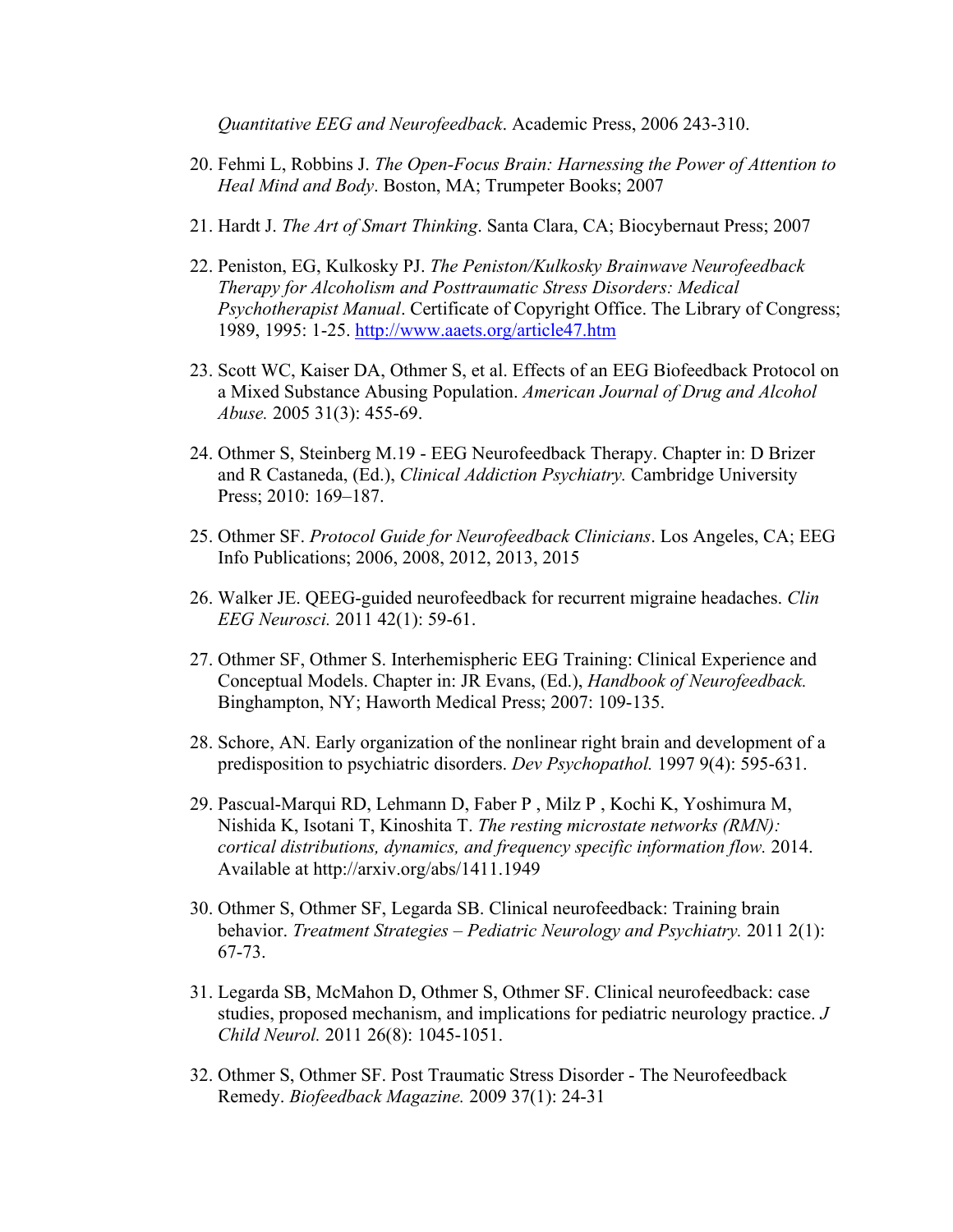*Quantitative EEG and Neurofeedback*. Academic Press, 2006 243-310.

- 20. Fehmi L, Robbins J. *The Open-Focus Brain: Harnessing the Power of Attention to Heal Mind and Body*. Boston, MA; Trumpeter Books; 2007
- 21. Hardt J. *The Art of Smart Thinking*. Santa Clara, CA; Biocybernaut Press; 2007
- 22. Peniston, EG, Kulkosky PJ. *The Peniston/Kulkosky Brainwave Neurofeedback Therapy for Alcoholism and Posttraumatic Stress Disorders: Medical Psychotherapist Manual*. Certificate of Copyright Office. The Library of Congress; 1989, 1995: 1-25. http://www.aaets.org/article47.htm
- 23. Scott WC, Kaiser DA, Othmer S, et al. Effects of an EEG Biofeedback Protocol on a Mixed Substance Abusing Population. *American Journal of Drug and Alcohol Abuse.* 2005 31(3): 455-69.
- 24. Othmer S, Steinberg M.19 EEG Neurofeedback Therapy. Chapter in: D Brizer and R Castaneda, (Ed.), *Clinical Addiction Psychiatry.* Cambridge University Press; 2010: 169–187.
- 25. Othmer SF. *Protocol Guide for Neurofeedback Clinicians*. Los Angeles, CA; EEG Info Publications; 2006, 2008, 2012, 2013, 2015
- 26. Walker JE. QEEG-guided neurofeedback for recurrent migraine headaches. *Clin EEG Neurosci.* 2011 42(1): 59-61.
- 27. Othmer SF, Othmer S. Interhemispheric EEG Training: Clinical Experience and Conceptual Models. Chapter in: JR Evans, (Ed.), *Handbook of Neurofeedback.* Binghampton, NY; Haworth Medical Press; 2007: 109-135.
- 28. Schore, AN. Early organization of the nonlinear right brain and development of a predisposition to psychiatric disorders. *Dev Psychopathol.* 1997 9(4): 595-631.
- 29. Pascual-Marqui RD, Lehmann D, Faber P , Milz P , Kochi K, Yoshimura M, Nishida K, Isotani T, Kinoshita T. *The resting microstate networks (RMN): cortical distributions, dynamics, and frequency specific information flow.* 2014. Available at http://arxiv.org/abs/1411.1949
- 30. Othmer S, Othmer SF, Legarda SB. Clinical neurofeedback: Training brain behavior. *Treatment Strategies – Pediatric Neurology and Psychiatry.* 2011 2(1): 67-73.
- 31. Legarda SB, McMahon D, Othmer S, Othmer SF. Clinical neurofeedback: case studies, proposed mechanism, and implications for pediatric neurology practice. *J Child Neurol.* 2011 26(8): 1045-1051.
- 32. Othmer S, Othmer SF. Post Traumatic Stress Disorder The Neurofeedback Remedy. *Biofeedback Magazine.* 2009 37(1): 24-31